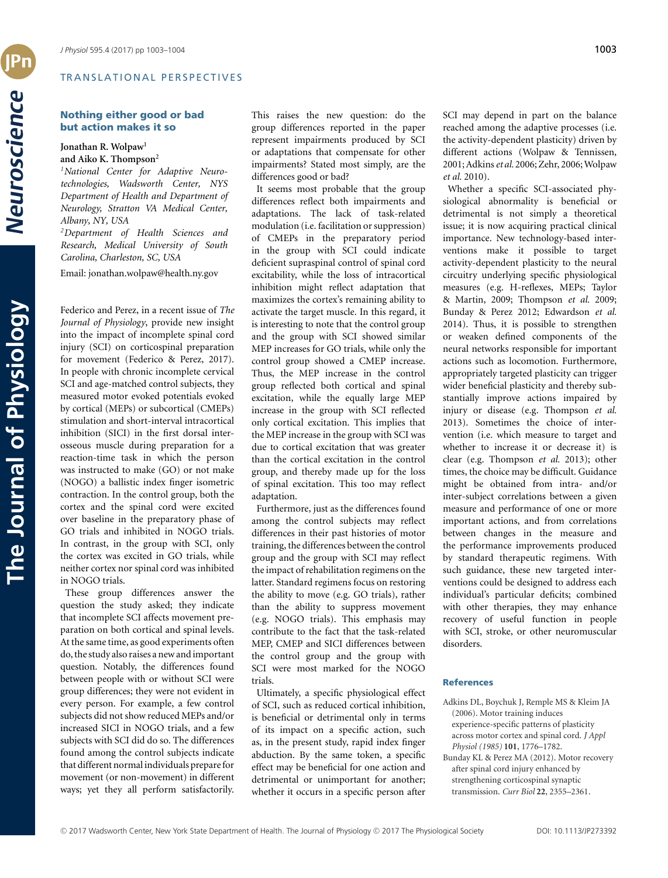## TRANSLATIONAL PERSPECTIVES

# **Nothing either good or bad but action makes it so**

## **Jonathan R. Wolpaw<sup>1</sup> and Aiko K. Thompson2**

*1National Center for Adaptive Neurotechnologies, Wadsworth Center, NYS Department of Health and Department of Neurology, Stratton VA Medical Center, Albany, NY, USA*

*2Department of Health Sciences and Research, Medical University of South Carolina, Charleston, SC, USA*

Email: jonathan.wolpaw@health.ny.gov

Federico and Perez, in a recent issue of *The Journal of Physiology*, provide new insight into the impact of incomplete spinal cord injury (SCI) on corticospinal preparation for movement (Federico & Perez, 2017). In people with chronic incomplete cervical SCI and age-matched control subjects, they measured motor evoked potentials evoked by cortical (MEPs) or subcortical (CMEPs) stimulation and short-interval intracortical inhibition (SICI) in the first dorsal interosseous muscle during preparation for a reaction-time task in which the person was instructed to make (GO) or not make (NOGO) a ballistic index finger isometric contraction. In the control group, both the cortex and the spinal cord were excited over baseline in the preparatory phase of GO trials and inhibited in NOGO trials. In contrast, in the group with SCI, only the cortex was excited in GO trials, while neither cortex nor spinal cord was inhibited in NOGO trials.

These group differences answer the question the study asked; they indicate that incomplete SCI affects movement preparation on both cortical and spinal levels. At the same time, as good experiments often do, the study also raises a new and important question. Notably, the differences found between people with or without SCI were group differences; they were not evident in every person. For example, a few control subjects did not show reduced MEPs and/or increased SICI in NOGO trials, and a few subjects with SCI did do so. The differences found among the control subjects indicate that different normal individuals preparefor movement (or non-movement) in different ways; yet they all perform satisfactorily. This raises the new question: do the group differences reported in the paper represent impairments produced by SCI or adaptations that compensate for other impairments? Stated most simply, are the differences good or bad?

It seems most probable that the group differences reflect both impairments and adaptations. The lack of task-related modulation (i.e. facilitation or suppression) of CMEPs in the preparatory period in the group with SCI could indicate deficient supraspinal control of spinal cord excitability, while the loss of intracortical inhibition might reflect adaptation that maximizes the cortex's remaining ability to activate the target muscle. In this regard, it is interesting to note that the control group and the group with SCI showed similar MEP increases for GO trials, while only the control group showed a CMEP increase. Thus, the MEP increase in the control group reflected both cortical and spinal excitation, while the equally large MEP increase in the group with SCI reflected only cortical excitation. This implies that the MEP increase in the group with SCI was due to cortical excitation that was greater than the cortical excitation in the control group, and thereby made up for the loss of spinal excitation. This too may reflect adaptation.

Furthermore, just as the differences found among the control subjects may reflect differences in their past histories of motor training, the differences between the control group and the group with SCI may reflect the impact of rehabilitation regimens on the latter. Standard regimens focus on restoring the ability to move (e.g. GO trials), rather than the ability to suppress movement (e.g. NOGO trials). This emphasis may contribute to the fact that the task-related MEP, CMEP and SICI differences between the control group and the group with SCI were most marked for the NOGO trials.

Ultimately, a specific physiological effect of SCI, such as reduced cortical inhibition, is beneficial or detrimental only in terms of its impact on a specific action, such as, in the present study, rapid index finger abduction. By the same token, a specific effect may be beneficial for one action and detrimental or unimportant for another; whether it occurs in a specific person after SCI may depend in part on the balance reached among the adaptive processes (i.e. the activity-dependent plasticity) driven by different actions (Wolpaw & Tennissen, 2001; Adkins et al. 2006; Zehr, 2006; Wolpaw *et al.* 2010).

Whether a specific SCI-associated physiological abnormality is beneficial or detrimental is not simply a theoretical issue; it is now acquiring practical clinical importance. New technology-based interventions make it possible to target activity-dependent plasticity to the neural circuitry underlying specific physiological measures (e.g. H-reflexes, MEPs; Taylor & Martin, 2009; Thompson *et al.* 2009; Bunday & Perez 2012; Edwardson *et al.* 2014). Thus, it is possible to strengthen or weaken defined components of the neural networks responsible for important actions such as locomotion. Furthermore, appropriately targeted plasticity can trigger wider beneficial plasticity and thereby substantially improve actions impaired by injury or disease (e.g. Thompson *et al.* 2013). Sometimes the choice of intervention (i.e. which measure to target and whether to increase it or decrease it) is clear (e.g. Thompson *et al.* 2013); other times, the choice may be difficult. Guidance might be obtained from intra- and/or inter-subject correlations between a given measure and performance of one or more important actions, and from correlations between changes in the measure and the performance improvements produced by standard therapeutic regimens. With such guidance, these new targeted interventions could be designed to address each individual's particular deficits; combined with other therapies, they may enhance recovery of useful function in people with SCI, stroke, or other neuromuscular disorders.

#### **References**

- Adkins DL, Boychuk J, Remple MS & Kleim JA (2006). Motor training induces experience-specific patterns of plasticity across motor cortex and spinal cord. *J Appl Physiol (1985)* **101**, 1776–1782.
- Bunday KL & Perez MA (2012). Motor recovery after spinal cord injury enhanced by strengthening corticospinal synaptic transmission. *Curr Biol* **22**, 2355–2361.